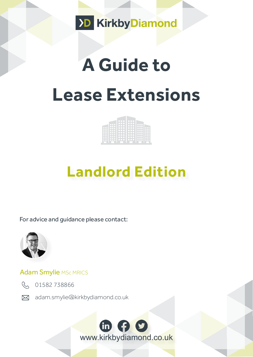

# **A Guide to Lease Extensions**

## **Landlord Edition**

For advice and guidance please contact:



#### Adam Smylie MSc MRICS



R 01582738866

[adam.smylie@kirkbydiamond.co.uk](http://Adam.smylie@kirkbydiamond.co.uk ) 

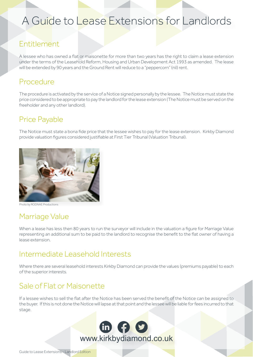### A Guide to Lease Extensions for Landlords

#### Entitlement

A lessee who has owned a flat or maisonette for more than two years has the right to claim a lease extension under the terms of the Leasehold Reform, Housing and Urban Development Act 1993 as amended. The lease will be extended by 90 years and the Ground Rent will reduce to a "peppercorn" (nil) rent.

#### Procedure

The procedure is activated by the service of a Notice signed personally by the lessee. The Notice must state the price considered to be appropriate to pay the landlord for the lease extension (The Notice must be served on the freeholder and any other landlord).

#### Price Payable

The Notice must state a bona fide price that the lessee wishes to pay for the lease extension. Kirkby Diamond provide valuation figures considered justifiable at First Tier Tribunal (Valuation Tribunal).



[Photo by RODNAE Productions](https://www.pexels.com/photo/close-up-of-a-person-signing-a-document-7821913/)

#### Marriage Value

When a lease has less then 80 years to run the surveyor will include in the valuation a figure for Marriage Value representing an additional sum to be paid to the landlord to recognise the benefit to the flat owner of having a lease extension.

#### Intermediate Leasehold Interests

Where there are several leasehold interests Kirkby Diamond can provide the values (premiums payable) to each of the superior interests.

#### Sale of Flat or Maisonette

If a lessee wishes to sell the flat after the Notice has been served the benefit of the Notice can be assigned to the buyer. If this is not done the Notice will lapse at that point and the lessee will be liable for fees incurred to that stage.

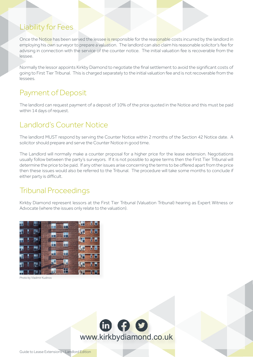#### Liability for Fees

Once the Notice has been served the lessee is responsible for the reasonable costs incurred by the landlord in employing his own surveyor to prepare a valuation. The landlord can also claim his reasonable solicitor's fee for advising in connection with the service of the counter notice. The initial valuation fee is recoverable from the lessee.

Normally the lessor appoints Kirkby Diamond to negotiate the final settlement to avoid the significant costs of going to First Tier Tribunal. This is charged separately to the initial valuation fee and is not recoverable from the lessees.

#### Payment of Deposit

The landlord can request payment of a deposit of 10% of the price quoted in the Notice and this must be paid within 14 days of request.

#### Landlord's Counter Notice

The landlord MUST respond by serving the Counter Notice within 2 months of the Section 42 Notice date. A solicitor should prepare and serve the Counter Notice in good time.

The Landlord will normally make a counter proposal for a higher price for the lease extension. Negotiations usually follow between the party's surveyors. If it is not possible to agree terms then the First Tier Tribunal will determine the price to be paid. If any other issues arise concerning the terms to be offered apart from the price then these issues would also be referred to the Tribunal. The procedure will take some months to conclude if either party is difficult.

#### Tribunal Proceedings

Kirkby Diamond represent lessors at the First Tier Tribunal (Valuation Tribunal) hearing as Expert Witness or Advocate (where the issues only relate to the valuation).



[Photo by Vladimir Kudinov](https://www.pexels.com/photo/brown-apartment-36366/ )